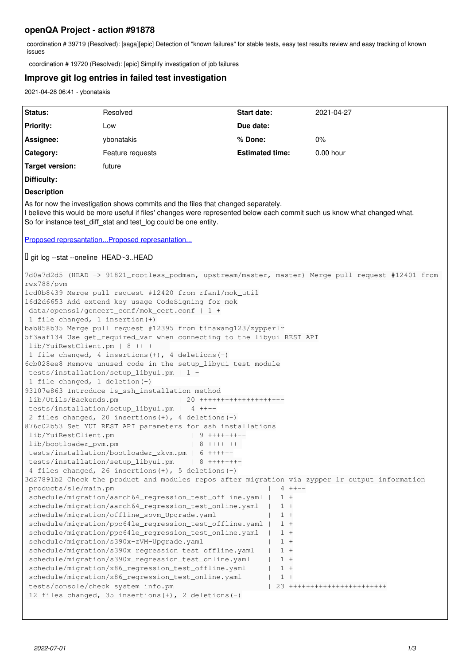# **openQA Project - action #91878**

coordination # 39719 (Resolved): [saga][epic] Detection of "known failures" for stable tests, easy test results review and easy tracking of known issues

coordination # 19720 (Resolved): [epic] Simplify investigation of job failures

## **Improve git log entries in failed test investigation**

2021-04-28 06:41 - ybonatakis

| Status:                                                                                                                                                                                                                                                                                                                                                                                                                                                                                                                                                                                                                                                                                                                                                                                                                                                                                                                                                                                                                                                                                                                                                                                                                                                                                                                                                                                                                                                                                                                                                                                                                                                                                                                                                                                                                                                                                                                                                                                                                                                                                                                                                                                  | Resolved         | <b>Start date:</b>     | 2021-04-27  |
|------------------------------------------------------------------------------------------------------------------------------------------------------------------------------------------------------------------------------------------------------------------------------------------------------------------------------------------------------------------------------------------------------------------------------------------------------------------------------------------------------------------------------------------------------------------------------------------------------------------------------------------------------------------------------------------------------------------------------------------------------------------------------------------------------------------------------------------------------------------------------------------------------------------------------------------------------------------------------------------------------------------------------------------------------------------------------------------------------------------------------------------------------------------------------------------------------------------------------------------------------------------------------------------------------------------------------------------------------------------------------------------------------------------------------------------------------------------------------------------------------------------------------------------------------------------------------------------------------------------------------------------------------------------------------------------------------------------------------------------------------------------------------------------------------------------------------------------------------------------------------------------------------------------------------------------------------------------------------------------------------------------------------------------------------------------------------------------------------------------------------------------------------------------------------------------|------------------|------------------------|-------------|
| <b>Priority:</b>                                                                                                                                                                                                                                                                                                                                                                                                                                                                                                                                                                                                                                                                                                                                                                                                                                                                                                                                                                                                                                                                                                                                                                                                                                                                                                                                                                                                                                                                                                                                                                                                                                                                                                                                                                                                                                                                                                                                                                                                                                                                                                                                                                         | Low              | Due date:              |             |
| Assignee:                                                                                                                                                                                                                                                                                                                                                                                                                                                                                                                                                                                                                                                                                                                                                                                                                                                                                                                                                                                                                                                                                                                                                                                                                                                                                                                                                                                                                                                                                                                                                                                                                                                                                                                                                                                                                                                                                                                                                                                                                                                                                                                                                                                | ybonatakis       | % Done:                | 0%          |
| Category:                                                                                                                                                                                                                                                                                                                                                                                                                                                                                                                                                                                                                                                                                                                                                                                                                                                                                                                                                                                                                                                                                                                                                                                                                                                                                                                                                                                                                                                                                                                                                                                                                                                                                                                                                                                                                                                                                                                                                                                                                                                                                                                                                                                | Feature requests | <b>Estimated time:</b> | $0.00$ hour |
| <b>Target version:</b>                                                                                                                                                                                                                                                                                                                                                                                                                                                                                                                                                                                                                                                                                                                                                                                                                                                                                                                                                                                                                                                                                                                                                                                                                                                                                                                                                                                                                                                                                                                                                                                                                                                                                                                                                                                                                                                                                                                                                                                                                                                                                                                                                                   | future           |                        |             |
| Difficulty:                                                                                                                                                                                                                                                                                                                                                                                                                                                                                                                                                                                                                                                                                                                                                                                                                                                                                                                                                                                                                                                                                                                                                                                                                                                                                                                                                                                                                                                                                                                                                                                                                                                                                                                                                                                                                                                                                                                                                                                                                                                                                                                                                                              |                  |                        |             |
| <b>Description</b>                                                                                                                                                                                                                                                                                                                                                                                                                                                                                                                                                                                                                                                                                                                                                                                                                                                                                                                                                                                                                                                                                                                                                                                                                                                                                                                                                                                                                                                                                                                                                                                                                                                                                                                                                                                                                                                                                                                                                                                                                                                                                                                                                                       |                  |                        |             |
| As for now the investigation shows commits and the files that changed separately.<br>I believe this would be more useful if files' changes were represented below each commit such us know what changed what.<br>So for instance test_diff_stat and test_log could be one entity.                                                                                                                                                                                                                                                                                                                                                                                                                                                                                                                                                                                                                                                                                                                                                                                                                                                                                                                                                                                                                                                                                                                                                                                                                                                                                                                                                                                                                                                                                                                                                                                                                                                                                                                                                                                                                                                                                                        |                  |                        |             |
| Proposed represantation Proposed represantation                                                                                                                                                                                                                                                                                                                                                                                                                                                                                                                                                                                                                                                                                                                                                                                                                                                                                                                                                                                                                                                                                                                                                                                                                                                                                                                                                                                                                                                                                                                                                                                                                                                                                                                                                                                                                                                                                                                                                                                                                                                                                                                                          |                  |                        |             |
| $\Box$ git log --stat --oneline HEAD~3HEAD                                                                                                                                                                                                                                                                                                                                                                                                                                                                                                                                                                                                                                                                                                                                                                                                                                                                                                                                                                                                                                                                                                                                                                                                                                                                                                                                                                                                                                                                                                                                                                                                                                                                                                                                                                                                                                                                                                                                                                                                                                                                                                                                               |                  |                        |             |
| 7d0a7d2d5 (HEAD -> 91821_rootless_podman, upstream/master, master) Merge pull request #12401 from<br>rwx788/pvm<br>1cd0b8439 Merge pull request #12420 from rfan1/mok_util<br>16d2d6653 Add extend key usage CodeSigning for mok<br>data/openssl/gencert_conf/mok_cert.conf   1 +<br>1 file changed, 1 insertion (+)<br>bab858b35 Merge pull request #12395 from tinawang123/zypperlr<br>5f3aaf134 Use get_required_var when connecting to the libyui REST API<br>lib/YuiRestClient.pm   8 ++++----<br>1 file changed, 4 insertions (+), 4 deletions (-)<br>6cb028ee8 Remove unused code in the setup_libyui test module<br>tests/installation/setup_libyui.pm   1 -<br>1 file changed, 1 deletion(-)<br>93107e863 Introduce is_ssh_installation method<br>lib/Utils/Backends.pm<br>$120$ +++++++++++++++++++<br>tests/installation/setup_libyui.pm   4 ++--<br>2 files changed, 20 insertions (+), 4 deletions (-)<br>876c02b53 Set YUI REST API parameters for ssh installations<br>lib/YuiRestClient.pm<br>9 +++++++--<br>lib/bootloader_pvm.pm<br>$  8 + + + + + + + -$<br>tests/installation/bootloader_zkvm.pm   6 +++++-<br>tests/installation/setup_libyui.pm<br>  8 ++++++++<br>4 files changed, 26 insertions (+), 5 deletions (-)<br>3d27891b2 Check the product and modules repos after migration via zypper lr output information<br>products/sle/main.pm<br>$4 + + - -$<br>schedule/migration/aarch64_regression_test_offline.yaml<br>$1 +$<br>schedule/migration/aarch64_regression_test_online.yaml<br>$1 +$<br>schedule/migration/offline_spvm_Upgrade.yaml<br>$1 +$<br>schedule/migration/ppc64le_regression_test_offline.yaml  <br>$1 +$<br>schedule/migration/ppc64le_regression_test_online.yaml<br>$1 +$<br>schedule/migration/s390x-zVM-Upgrade.yaml<br>$1 +$<br>schedule/migration/s390x_regression_test_offline.yaml<br>$1 +$<br>schedule/migration/s390x_regression_test_online.yaml<br>$1 +$<br>schedule/migration/x86_regression_test_offline.yaml<br>$1 +$<br>schedule/migration/x86_regression_test_online.yaml<br>$1 +$<br>tests/console/check_system_info.pm<br>23 ++++++++++++++++++++++++<br>12 files changed, 35 insertions $(+)$ , 2 deletions $(-)$ |                  |                        |             |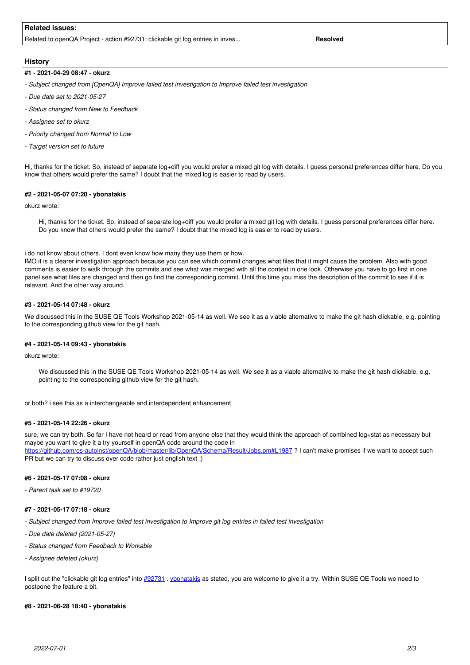## **Related issues:**

Related to openQA Project - action #92731: clickable git log entries in inves... **Resolved Resolved** 

## **History**

#### **#1 - 2021-04-29 08:47 - okurz**

- *Subject changed from [OpenQA] Improve failed test investigation to Improve failed test investigation*
- *Due date set to 2021-05-27*
- *Status changed from New to Feedback*
- *Assignee set to okurz*
- *Priority changed from Normal to Low*
- *Target version set to future*

Hi, thanks for the ticket. So, instead of separate log+diff you would prefer a mixed git log with details. I guess personal preferences differ here. Do you know that others would prefer the same? I doubt that the mixed log is easier to read by users.

#### **#2 - 2021-05-07 07:20 - ybonatakis**

#### okurz wrote:

Hi, thanks for the ticket. So, instead of separate log+diff you would prefer a mixed git log with details. I guess personal preferences differ here. Do you know that others would prefer the same? I doubt that the mixed log is easier to read by users.

#### i do not know about others. I dont even know how many they use them or how.

IMO it is a clearer investigation approach because you can see which commit changes what files that it might cause the problem. Also with good comments is easier to walk through the commits and see what was merged with all the context in one look. Otherwise you have to go first in one panel see what files are changed and then go find the corresponding commit. Until this time you miss the description of the commit to see if it is relavant. And the other way around.

#### **#3 - 2021-05-14 07:48 - okurz**

We discussed this in the SUSE QE Tools Workshop 2021-05-14 as well. We see it as a viable alternative to make the git hash clickable, e.g. pointing to the corresponding github view for the git hash.

#### **#4 - 2021-05-14 09:43 - ybonatakis**

okurz wrote:

We discussed this in the SUSE QE Tools Workshop 2021-05-14 as well. We see it as a viable alternative to make the git hash clickable, e.g. pointing to the corresponding github view for the git hash.

or both? i see this as a interchangeable and interdependent enhancement

#### **#5 - 2021-05-14 22:26 - okurz**

sure, we can try both. So far I have not heard or read from anyone else that they would think the approach of combined log+stat as necessary but maybe you want to give it a try yourself in openQA code around the code in

<https://github.com/os-autoinst/openQA/blob/master/lib/OpenQA/Schema/Result/Jobs.pm#L1987> ? I can't make promises if we want to accept such PR but we can try to discuss over code rather just english text :)

#### **#6 - 2021-05-17 07:08 - okurz**

*- Parent task set to #19720*

#### **#7 - 2021-05-17 07:18 - okurz**

- *Subject changed from Improve failed test investigation to Improve git log entries in failed test investigation*
- *Due date deleted (2021-05-27)*
- *Status changed from Feedback to Workable*
- *Assignee deleted (okurz)*

I split out the "clickable git log entries" into [#92731](https://progress.opensuse.org/issues/92731) . [ybonatakis](progress.opensuse.org/users/32492) as stated, you are welcome to give it a try. Within SUSE QE Tools we need to postpone the feature a bit.

#### **#8 - 2021-06-28 18:40 - ybonatakis**